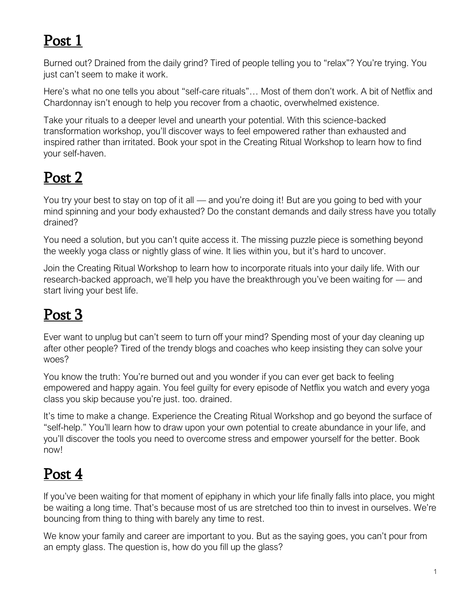### Post 1

Burned out? Drained from the daily grind? Tired of people telling you to "relax"? You're trying. You just can't seem to make it work.

Here's what no one tells you about "self-care rituals"… Most of them don't work. A bit of Netflix and Chardonnay isn't enough to help you recover from a chaotic, overwhelmed existence.

Take your rituals to a deeper level and unearth your potential. With this science-backed transformation workshop, you'll discover ways to feel empowered rather than exhausted and inspired rather than irritated. Book your spot in the Creating Ritual Workshop to learn how to find your self-haven.

# Post 2

You try your best to stay on top of it all — and you're doing it! But are you going to bed with your mind spinning and your body exhausted? Do the constant demands and daily stress have you totally drained?

You need a solution, but you can't quite access it. The missing puzzle piece is something beyond the weekly yoga class or nightly glass of wine. It lies within you, but it's hard to uncover.

Join the Creating Ritual Workshop to learn how to incorporate rituals into your daily life. With our research-backed approach, we'll help you have the breakthrough you've been waiting for — and start living your best life.

# Post 3

Ever want to unplug but can't seem to turn off your mind? Spending most of your day cleaning up after other people? Tired of the trendy blogs and coaches who keep insisting they can solve your woes?

You know the truth: You're burned out and you wonder if you can ever get back to feeling empowered and happy again. You feel guilty for every episode of Netflix you watch and every yoga class you skip because you're just. too. drained.

It's time to make a change. Experience the Creating Ritual Workshop and go beyond the surface of "self-help." You'll learn how to draw upon your own potential to create abundance in your life, and you'll discover the tools you need to overcome stress and empower yourself for the better. Book now!

#### Post 4

If you've been waiting for that moment of epiphany in which your life finally falls into place, you might be waiting a long time. That's because most of us are stretched too thin to invest in ourselves. We're bouncing from thing to thing with barely any time to rest.

We know your family and career are important to you. But as the saying goes, you can't pour from an empty glass. The question is, how do you fill up the glass?